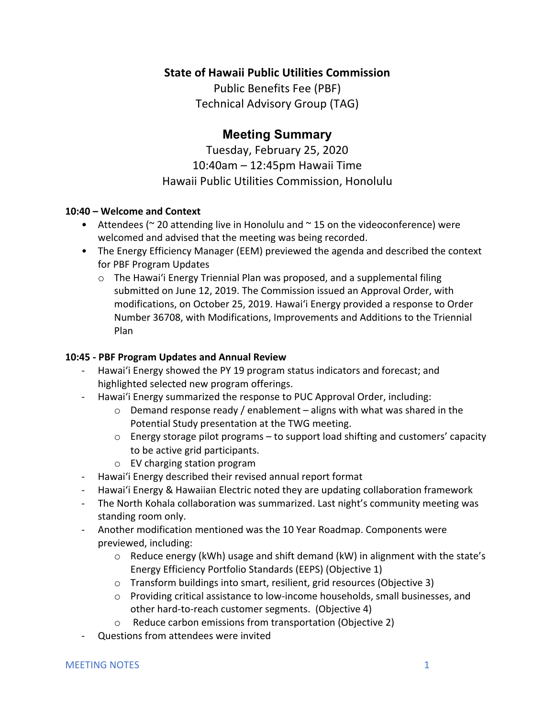## **State of Hawaii Public Utilities Commission**

Public Benefits Fee (PBF) Technical Advisory Group (TAG)

# **Meeting Summary**

Tuesday, February 25, 2020 10:40am – 12:45pm Hawaii Time Hawaii Public Utilities Commission, Honolulu

### **10:40 – Welcome and Context**

- Attendees ( $\sim$  20 attending live in Honolulu and  $\sim$  15 on the videoconference) were welcomed and advised that the meeting was being recorded.
- The Energy Efficiency Manager (EEM) previewed the agenda and described the context for PBF Program Updates
	- $\circ$  The Hawai'i Energy Triennial Plan was proposed, and a supplemental filing submitted on June 12, 2019. The Commission issued an Approval Order, with modifications, on October 25, 2019. Hawai'i Energy provided a response to Order Number 36708, with Modifications, Improvements and Additions to the Triennial Plan

### **10:45 - PBF Program Updates and Annual Review**

- Hawai'i Energy showed the PY 19 program status indicators and forecast; and highlighted selected new program offerings.
- Hawai'i Energy summarized the response to PUC Approval Order, including:
	- $\circ$  Demand response ready / enablement aligns with what was shared in the Potential Study presentation at the TWG meeting.
	- $\circ$  Energy storage pilot programs to support load shifting and customers' capacity to be active grid participants.
	- o EV charging station program
- Hawai'i Energy described their revised annual report format
- Hawaiʻi Energy & Hawaiian Electric noted they are updating collaboration framework
- The North Kohala collaboration was summarized. Last night's community meeting was standing room only.
- Another modification mentioned was the 10 Year Roadmap. Components were previewed, including:
	- $\circ$  Reduce energy (kWh) usage and shift demand (kW) in alignment with the state's Energy Efficiency Portfolio Standards (EEPS) (Objective 1)
	- o Transform buildings into smart, resilient, grid resources (Objective 3)
	- $\circ$  Providing critical assistance to low-income households, small businesses, and other hard-to-reach customer segments. (Objective 4)
	- o Reduce carbon emissions from transportation (Objective 2)
- Questions from attendees were invited

#### MEETING NOTES 1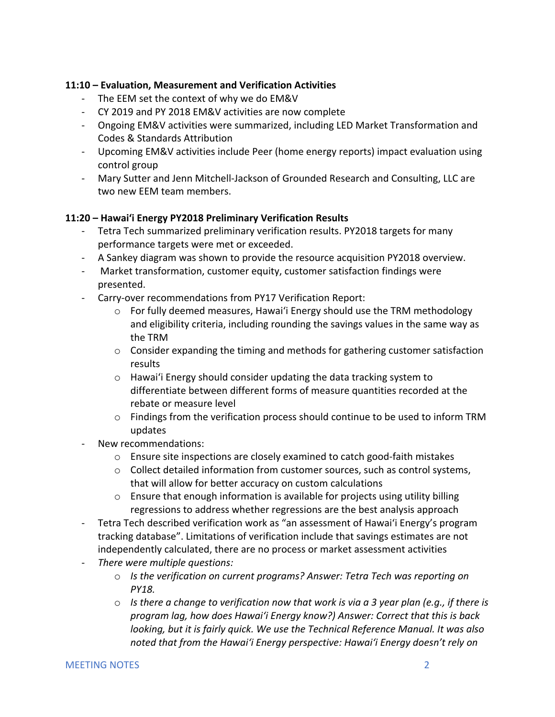### **11:10 – Evaluation, Measurement and Verification Activities**

- The EEM set the context of why we do EM&V
- CY 2019 and PY 2018 EM&V activities are now complete
- Ongoing EM&V activities were summarized, including LED Market Transformation and Codes & Standards Attribution
- Upcoming EM&V activities include Peer (home energy reports) impact evaluation using control group
- Mary Sutter and Jenn Mitchell-Jackson of Grounded Research and Consulting, LLC are two new EEM team members.

### **11:20 – Hawai'i Energy PY2018 Preliminary Verification Results**

- Tetra Tech summarized preliminary verification results. PY2018 targets for many performance targets were met or exceeded.
- A Sankey diagram was shown to provide the resource acquisition PY2018 overview.
- Market transformation, customer equity, customer satisfaction findings were presented.
- Carry-over recommendations from PY17 Verification Report:
	- $\circ$  For fully deemed measures, Hawai'i Energy should use the TRM methodology and eligibility criteria, including rounding the savings values in the same way as the TRM
	- $\circ$  Consider expanding the timing and methods for gathering customer satisfaction results
	- $\circ$  Hawai'i Energy should consider updating the data tracking system to differentiate between different forms of measure quantities recorded at the rebate or measure level
	- o Findings from the verification process should continue to be used to inform TRM updates
- New recommendations:
	- $\circ$  Ensure site inspections are closely examined to catch good-faith mistakes
	- $\circ$  Collect detailed information from customer sources, such as control systems, that will allow for better accuracy on custom calculations
	- $\circ$  Ensure that enough information is available for projects using utility billing regressions to address whether regressions are the best analysis approach
- Tetra Tech described verification work as "an assessment of Hawai'i Energy's program tracking database". Limitations of verification include that savings estimates are not independently calculated, there are no process or market assessment activities
- *There were multiple questions:* 
	- o *Is the verification on current programs? Answer: Tetra Tech was reporting on PY18.*
	- o *Is there a change to verification now that work is via a 3 year plan (e.g., if there is program lag, how does Hawai'i Energy know?) Answer: Correct that this is back looking, but it is fairly quick. We use the Technical Reference Manual. It was also noted that from the Hawai'i Energy perspective: Hawai'i Energy doesn't rely on*

#### MEETING NOTES 2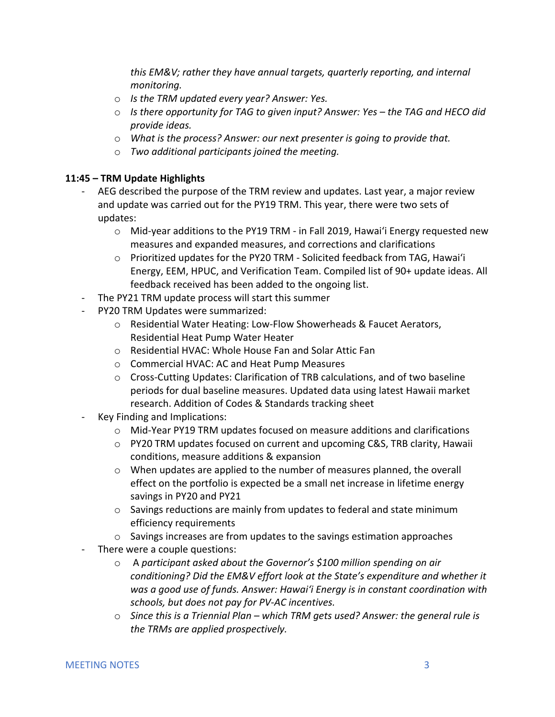*this EM&V; rather they have annual targets, quarterly reporting, and internal monitoring.* 

- o *Is the TRM updated every year? Answer: Yes.*
- o *Is there opportunity for TAG to given input? Answer: Yes – the TAG and HECO did provide ideas.*
- o *What is the process? Answer: our next presenter is going to provide that.*
- o *Two additional participants joined the meeting.*

### **11:45 – TRM Update Highlights**

- AEG described the purpose of the TRM review and updates. Last year, a major review and update was carried out for the PY19 TRM. This year, there were two sets of updates:
	- $\circ$  Mid-year additions to the PY19 TRM in Fall 2019, Hawai'i Energy requested new measures and expanded measures, and corrections and clarifications
	- o Prioritized updates for the PY20 TRM Solicited feedback from TAG, Hawai'i Energy, EEM, HPUC, and Verification Team. Compiled list of 90+ update ideas. All feedback received has been added to the ongoing list.
- The PY21 TRM update process will start this summer
- PY20 TRM Updates were summarized:
	- o Residential Water Heating: Low-Flow Showerheads & Faucet Aerators, Residential Heat Pump Water Heater
	- o Residential HVAC: Whole House Fan and Solar Attic Fan
	- o Commercial HVAC: AC and Heat Pump Measures
	- $\circ$  Cross-Cutting Updates: Clarification of TRB calculations, and of two baseline periods for dual baseline measures. Updated data using latest Hawaii market research. Addition of Codes & Standards tracking sheet
- Key Finding and Implications:
	- o Mid-Year PY19 TRM updates focused on measure additions and clarifications
	- o PY20 TRM updates focused on current and upcoming C&S, TRB clarity, Hawaii conditions, measure additions & expansion
	- $\circ$  When updates are applied to the number of measures planned, the overall effect on the portfolio is expected be a small net increase in lifetime energy savings in PY20 and PY21
	- o Savings reductions are mainly from updates to federal and state minimum efficiency requirements
	- o Savings increases are from updates to the savings estimation approaches
- There were a couple questions:
	- o A *participant asked about the Governor's \$100 million spending on air conditioning? Did the EM&V effort look at the State's expenditure and whether it was a good use of funds. Answer: Hawai'i Energy is in constant coordination with schools, but does not pay for PV-AC incentives.*
	- o *Since this is a Triennial Plan – which TRM gets used? Answer: the general rule is the TRMs are applied prospectively.*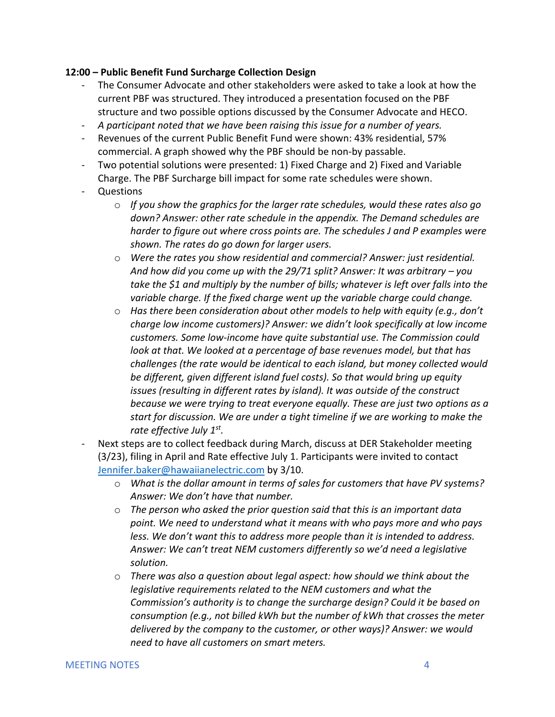#### **12:00 – Public Benefit Fund Surcharge Collection Design**

- The Consumer Advocate and other stakeholders were asked to take a look at how the current PBF was structured. They introduced a presentation focused on the PBF structure and two possible options discussed by the Consumer Advocate and HECO.
- *A participant noted that we have been raising this issue for a number of years.*
- Revenues of the current Public Benefit Fund were shown: 43% residential, 57% commercial. A graph showed why the PBF should be non-by passable.
- Two potential solutions were presented: 1) Fixed Charge and 2) Fixed and Variable Charge. The PBF Surcharge bill impact for some rate schedules were shown.
- Questions
	- o *If you show the graphics for the larger rate schedules, would these rates also go down? Answer: other rate schedule in the appendix. The Demand schedules are harder to figure out where cross points are. The schedules J and P examples were shown. The rates do go down for larger users.*
	- o *Were the rates you show residential and commercial? Answer: just residential. And how did you come up with the 29/71 split? Answer: It was arbitrary – you*  take the \$1 and multiply by the number of bills; whatever is left over falls into the *variable charge. If the fixed charge went up the variable charge could change.*
	- o *Has there been consideration about other models to help with equity (e.g., don't charge low income customers)? Answer: we didn't look specifically at low income customers. Some low-income have quite substantial use. The Commission could look at that. We looked at a percentage of base revenues model, but that has challenges (the rate would be identical to each island, but money collected would be different, given different island fuel costs). So that would bring up equity issues (resulting in different rates by island). It was outside of the construct because we were trying to treat everyone equally. These are just two options as a start for discussion. We are under a tight timeline if we are working to make the rate effective July 1st.*
- Next steps are to collect feedback during March, discuss at DER Stakeholder meeting (3/23), filing in April and Rate effective July 1. Participants were invited to contact Jennifer.baker@hawaiianelectric.com by 3/10.
	- o *What is the dollar amount in terms of sales for customers that have PV systems? Answer: We don't have that number.*
	- o *The person who asked the prior question said that this is an important data point. We need to understand what it means with who pays more and who pays less. We don't want this to address more people than it is intended to address. Answer: We can't treat NEM customers differently so we'd need a legislative solution.*
	- o *There was also a question about legal aspect: how should we think about the legislative requirements related to the NEM customers and what the Commission's authority is to change the surcharge design? Could it be based on consumption (e.g., not billed kWh but the number of kWh that crosses the meter delivered by the company to the customer, or other ways)? Answer: we would need to have all customers on smart meters.*

#### MEETING NOTES 4